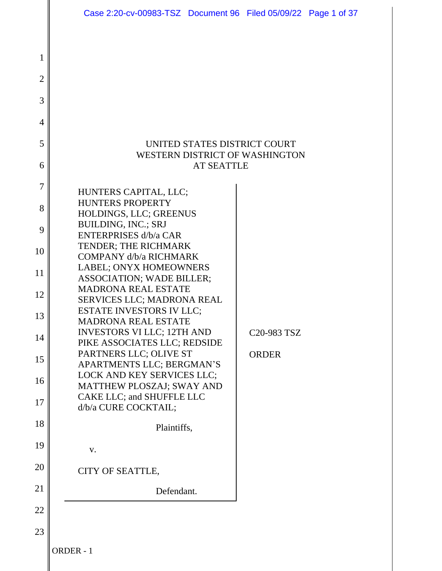|                                                                                           | Case 2:20-cv-00983-TSZ Document 96 Filed 05/09/22 Page 1 of 37                                                                                                                                                                                                                                                                                                                                                                                                                                                                                                                                                                                                                                         |                                                      |  |
|-------------------------------------------------------------------------------------------|--------------------------------------------------------------------------------------------------------------------------------------------------------------------------------------------------------------------------------------------------------------------------------------------------------------------------------------------------------------------------------------------------------------------------------------------------------------------------------------------------------------------------------------------------------------------------------------------------------------------------------------------------------------------------------------------------------|------------------------------------------------------|--|
| 1<br>$\overline{2}$<br>3<br>$\overline{4}$<br>5<br>6                                      | UNITED STATES DISTRICT COURT<br>WESTERN DISTRICT OF WASHINGTON<br><b>AT SEATTLE</b>                                                                                                                                                                                                                                                                                                                                                                                                                                                                                                                                                                                                                    |                                                      |  |
| 7<br>8<br>9<br>10<br>11<br>12<br>13<br>14<br>15<br>16<br>17<br>18<br>19<br>20<br>21<br>22 | HUNTERS CAPITAL, LLC;<br><b>HUNTERS PROPERTY</b><br>HOLDINGS, LLC; GREENUS<br><b>BUILDING, INC.; SRJ</b><br><b>ENTERPRISES d/b/a CAR</b><br>TENDER; THE RICHMARK<br><b>COMPANY d/b/a RICHMARK</b><br>LABEL; ONYX HOMEOWNERS<br><b>ASSOCIATION; WADE BILLER;</b><br><b>MADRONA REAL ESTATE</b><br>SERVICES LLC; MADRONA REAL<br><b>ESTATE INVESTORS IV LLC;</b><br><b>MADRONA REAL ESTATE</b><br><b>INVESTORS VI LLC; 12TH AND</b><br>PIKE ASSOCIATES LLC; REDSIDE<br>PARTNERS LLC; OLIVE ST<br>APARTMENTS LLC; BERGMAN'S<br>LOCK AND KEY SERVICES LLC;<br><b>MATTHEW PLOSZAJ; SWAY AND</b><br>CAKE LLC; and SHUFFLE LLC<br>d/b/a CURE COCKTAIL;<br>Plaintiffs,<br>V.<br>CITY OF SEATTLE,<br>Defendant. | C <sub>20</sub> -983 TS <sub>Z</sub><br><b>ORDER</b> |  |
| 23                                                                                        | ORDER - 1                                                                                                                                                                                                                                                                                                                                                                                                                                                                                                                                                                                                                                                                                              |                                                      |  |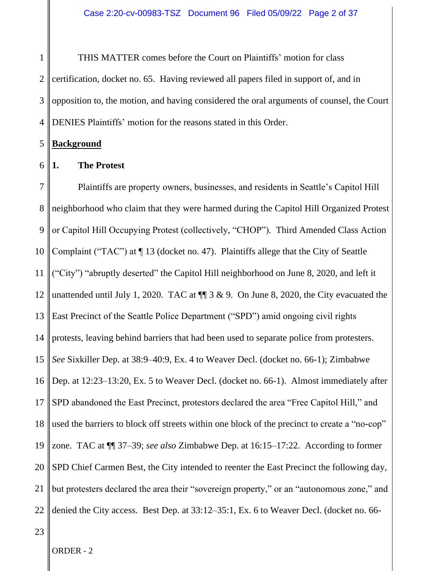1 2 3 4 THIS MATTER comes before the Court on Plaintiffs' motion for class certification, docket no. 65. Having reviewed all papers filed in support of, and in opposition to, the motion, and having considered the oral arguments of counsel, the Court DENIES Plaintiffs' motion for the reasons stated in this Order.

### 5 **Background**

6

## **1. The Protest**

7 8 9 10 11 12 13 14 15 16 17 18 19 20 21 22 Plaintiffs are property owners, businesses, and residents in Seattle's Capitol Hill neighborhood who claim that they were harmed during the Capitol Hill Organized Protest or Capitol Hill Occupying Protest (collectively, "CHOP"). Third Amended Class Action Complaint ("TAC") at ¶ 13 (docket no. 47). Plaintiffs allege that the City of Seattle ("City") "abruptly deserted" the Capitol Hill neighborhood on June 8, 2020, and left it unattended until July 1, 2020. TAC at  $\P$  3 & 9. On June 8, 2020, the City evacuated the East Precinct of the Seattle Police Department ("SPD") amid ongoing civil rights protests, leaving behind barriers that had been used to separate police from protesters. *See* Sixkiller Dep. at 38:9–40:9, Ex. 4 to Weaver Decl. (docket no. 66-1); Zimbabwe Dep. at 12:23–13:20, Ex. 5 to Weaver Decl. (docket no. 66-1). Almost immediately after SPD abandoned the East Precinct, protestors declared the area "Free Capitol Hill," and used the barriers to block off streets within one block of the precinct to create a "no-cop" zone. TAC at ¶¶ 37–39; *see also* Zimbabwe Dep. at 16:15–17:22. According to former SPD Chief Carmen Best, the City intended to reenter the East Precinct the following day, but protesters declared the area their "sovereign property," or an "autonomous zone," and denied the City access. Best Dep. at 33:12–35:1, Ex. 6 to Weaver Decl. (docket no. 66-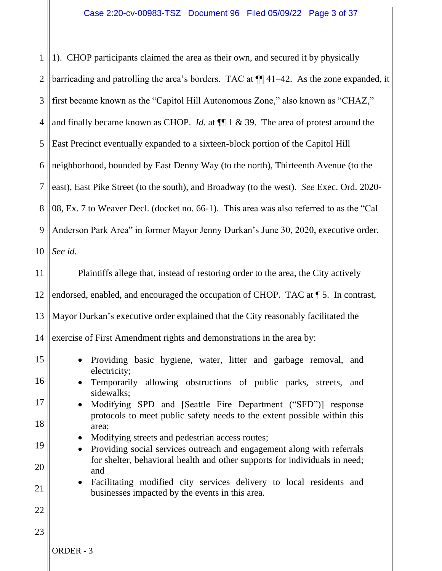1 2 3 4 5 6 7 8 9 10 11 12 13 14 15 16 17 18 19 20 21 22 23 ORDER - 3 1). CHOP participants claimed the area as their own, and secured it by physically barricading and patrolling the area's borders. TAC at ¶¶ 41–42. As the zone expanded, it first became known as the "Capitol Hill Autonomous Zone," also known as "CHAZ," and finally became known as CHOP. *Id.* at ¶¶ 1 & 39. The area of protest around the East Precinct eventually expanded to a sixteen-block portion of the Capitol Hill neighborhood, bounded by East Denny Way (to the north), Thirteenth Avenue (to the east), East Pike Street (to the south), and Broadway (to the west). *See* Exec. Ord. 2020- 08, Ex. 7 to Weaver Decl. (docket no. 66-1). This area was also referred to as the "Cal Anderson Park Area" in former Mayor Jenny Durkan's June 30, 2020, executive order. *See id.* Plaintiffs allege that, instead of restoring order to the area, the City actively endorsed, enabled, and encouraged the occupation of CHOP. TAC at ¶ 5. In contrast, Mayor Durkan's executive order explained that the City reasonably facilitated the exercise of First Amendment rights and demonstrations in the area by: • Providing basic hygiene, water, litter and garbage removal, and electricity; • Temporarily allowing obstructions of public parks, streets, and sidewalks; • Modifying SPD and [Seattle Fire Department ("SFD")] response protocols to meet public safety needs to the extent possible within this area; • Modifying streets and pedestrian access routes; • Providing social services outreach and engagement along with referrals for shelter, behavioral health and other supports for individuals in need; and • Facilitating modified city services delivery to local residents and businesses impacted by the events in this area.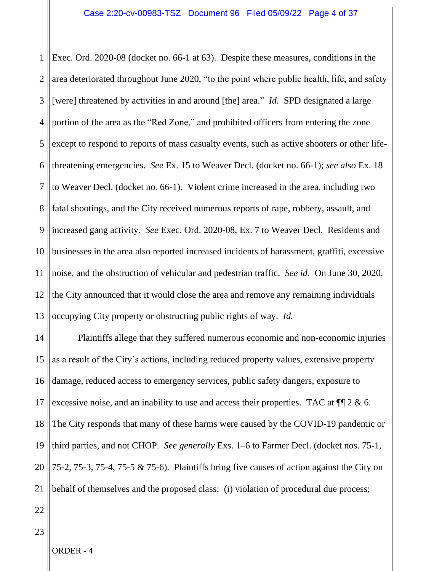1 2 3 4 5 6 7 8 9 10 11 12 13 Exec. Ord. 2020-08 (docket no. 66-1 at 63). Despite these measures, conditions in the area deteriorated throughout June 2020, "to the point where public health, life, and safety [were] threatened by activities in and around [the] area." *Id.* SPD designated a large portion of the area as the "Red Zone," and prohibited officers from entering the zone except to respond to reports of mass casualty events, such as active shooters or other lifethreatening emergencies. *See* Ex. 15 to Weaver Decl. (docket no. 66-1); *see also* Ex. 18 to Weaver Decl. (docket no. 66-1). Violent crime increased in the area, including two fatal shootings, and the City received numerous reports of rape, robbery, assault, and increased gang activity. *See* Exec. Ord. 2020-08, Ex. 7 to Weaver Decl.Residents and businesses in the area also reported increased incidents of harassment, graffiti, excessive noise, and the obstruction of vehicular and pedestrian traffic. *See id.* On June 30, 2020, the City announced that it would close the area and remove any remaining individuals occupying City property or obstructing public rights of way. *Id.*

14 15 16 17 18 19 20 21 Plaintiffs allege that they suffered numerous economic and non-economic injuries as a result of the City's actions, including reduced property values, extensive property damage, reduced access to emergency services, public safety dangers, exposure to excessive noise, and an inability to use and access their properties. TAC at  $\P$  2 & 6. The City responds that many of these harms were caused by the COVID-19 pandemic or third parties, and not CHOP. *See generally* Exs. 1–6 to Farmer Decl. (docket nos. 75-1, 75-2, 75-3, 75-4, 75-5 & 75-6). Plaintiffs bring five causes of action against the City on behalf of themselves and the proposed class: (i) violation of procedural due process;

22

23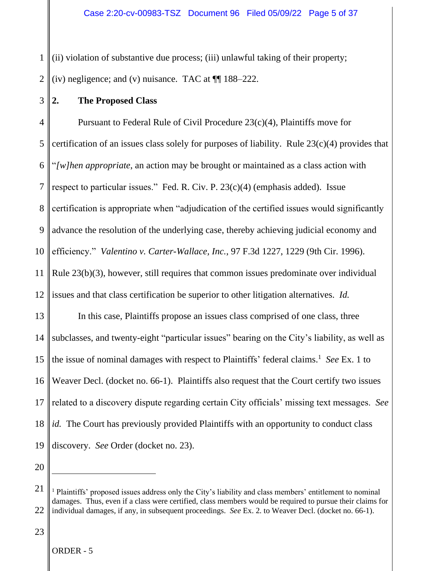1 2 (ii) violation of substantive due process; (iii) unlawful taking of their property; (iv) negligence; and (v) nuisance. TAC at ¶¶ 188–222.

3 **2. The Proposed Class**

4 5 6 7 8 9 10 11 12 13 14 15 16 17 18 19 Pursuant to Federal Rule of Civil Procedure 23(c)(4), Plaintiffs move for certification of an issues class solely for purposes of liability. Rule 23(c)(4) provides that "*[w]hen appropriate*, an action may be brought or maintained as a class action with respect to particular issues." Fed. R. Civ. P. 23(c)(4) (emphasis added). Issue certification is appropriate when "adjudication of the certified issues would significantly advance the resolution of the underlying case, thereby achieving judicial economy and efficiency." *Valentino v. Carter-Wallace, Inc.*, 97 F.3d 1227, 1229 (9th Cir. 1996). Rule 23(b)(3), however, still requires that common issues predominate over individual issues and that class certification be superior to other litigation alternatives. *Id.*  In this case, Plaintiffs propose an issues class comprised of one class, three subclasses, and twenty-eight "particular issues" bearing on the City's liability, as well as the issue of nominal damages with respect to Plaintiffs' federal claims.<sup>1</sup> *See* Ex. 1 to Weaver Decl. (docket no. 66-1). Plaintiffs also request that the Court certify two issues related to a discovery dispute regarding certain City officials' missing text messages. *See id.* The Court has previously provided Plaintiffs with an opportunity to conduct class discovery. *See* Order (docket no. 23).

<sup>21</sup> 22 <sup>1</sup> Plaintiffs' proposed issues address only the City's liability and class members' entitlement to nominal damages. Thus, even if a class were certified, class members would be required to pursue their claims for individual damages, if any, in subsequent proceedings. *See* Ex. 2. to Weaver Decl. (docket no. 66-1).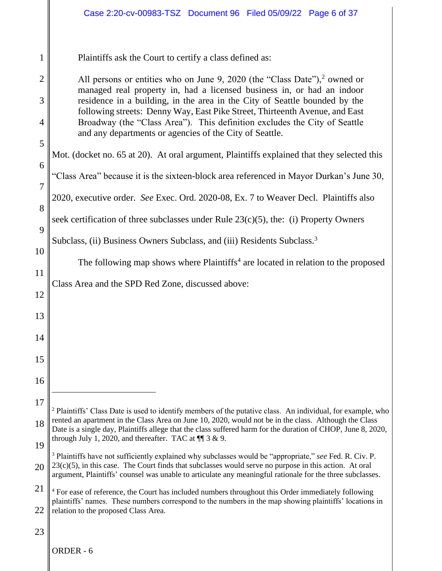|                     | Case 2:20-cv-00983-TSZ Document 96 Filed 05/09/22 Page 6 of 37                                                                                                                                                                                                                                                                               |
|---------------------|----------------------------------------------------------------------------------------------------------------------------------------------------------------------------------------------------------------------------------------------------------------------------------------------------------------------------------------------|
| 1<br>$\overline{2}$ | Plaintiffs ask the Court to certify a class defined as:<br>All persons or entities who on June 9, 2020 (the "Class Date"), <sup>2</sup> owned or<br>managed real property in, had a licensed business in, or had an indoor                                                                                                                   |
| 3<br>$\overline{4}$ | residence in a building, in the area in the City of Seattle bounded by the<br>following streets: Denny Way, East Pike Street, Thirteenth Avenue, and East<br>Broadway (the "Class Area"). This definition excludes the City of Seattle                                                                                                       |
| 5<br>6              | and any departments or agencies of the City of Seattle.<br>Mot. (docket no. 65 at 20). At oral argument, Plaintiffs explained that they selected this                                                                                                                                                                                        |
| $\overline{7}$      | "Class Area" because it is the sixteen-block area referenced in Mayor Durkan's June 30,<br>2020, executive order. See Exec. Ord. 2020-08, Ex. 7 to Weaver Decl. Plaintiffs also                                                                                                                                                              |
| 8<br>9              | seek certification of three subclasses under Rule $23(c)(5)$ , the: (i) Property Owners<br>Subclass, (ii) Business Owners Subclass, and (iii) Residents Subclass. <sup>3</sup>                                                                                                                                                               |
| 10<br>11            | The following map shows where Plaintiffs <sup>4</sup> are located in relation to the proposed                                                                                                                                                                                                                                                |
| 12                  | Class Area and the SPD Red Zone, discussed above:                                                                                                                                                                                                                                                                                            |
| 13<br>14            |                                                                                                                                                                                                                                                                                                                                              |
| 15<br>16            |                                                                                                                                                                                                                                                                                                                                              |
| 17                  | <sup>2</sup> Plaintiffs' Class Date is used to identify members of the putative class. An individual, for example, who<br>rented an apartment in the Class Area on June 10, 2020, would not be in the class. Although the Class                                                                                                              |
| 18<br>19            | Date is a single day, Plaintiffs allege that the class suffered harm for the duration of CHOP, June 8, 2020,<br>through July 1, 2020, and thereafter. TAC at $\P$ 3 & 9.                                                                                                                                                                     |
| 20                  | <sup>3</sup> Plaintiffs have not sufficiently explained why subclasses would be "appropriate," see Fed. R. Civ. P.<br>$23(c)(5)$ , in this case. The Court finds that subclasses would serve no purpose in this action. At oral<br>argument, Plaintiffs' counsel was unable to articulate any meaningful rationale for the three subclasses. |
| 21<br>22            | <sup>4</sup> For ease of reference, the Court has included numbers throughout this Order immediately following<br>plaintiffs' names. These numbers correspond to the numbers in the map showing plaintiffs' locations in<br>relation to the proposed Class Area.                                                                             |
| 23                  | ORDER - 6                                                                                                                                                                                                                                                                                                                                    |
|                     |                                                                                                                                                                                                                                                                                                                                              |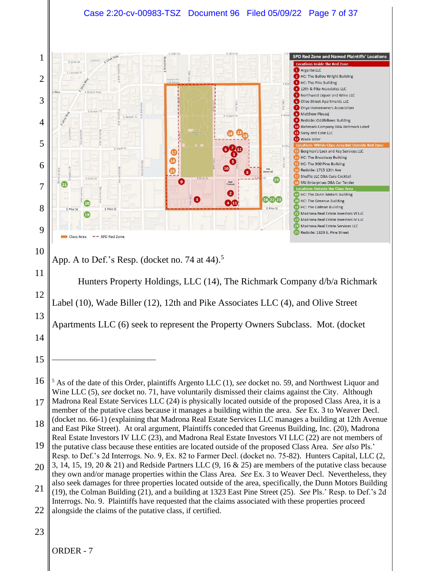## Case 2:20-cv-00983-TSZ Document 96 Filed 05/09/22 Page 7 of 37

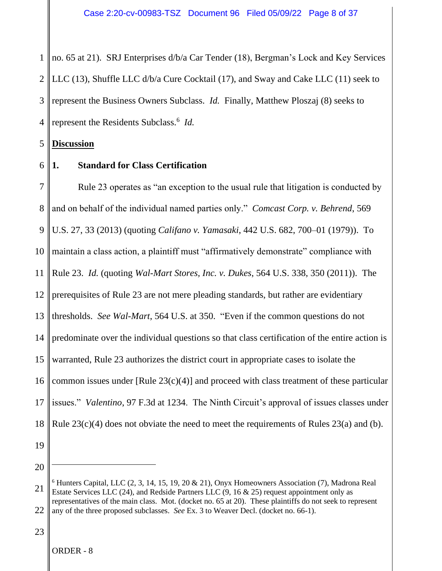1 2 3 4 no. 65 at 21). SRJ Enterprises d/b/a Car Tender (18), Bergman's Lock and Key Services LLC (13), Shuffle LLC d/b/a Cure Cocktail (17), and Sway and Cake LLC (11) seek to represent the Business Owners Subclass. *Id.* Finally, Matthew Ploszaj (8) seeks to represent the Residents Subclass. 6 *Id.* 

5 **Discussion**

6

# **1. Standard for Class Certification**

7 8 9 10 11 12 13 14 15 16 17 18 Rule 23 operates as "an exception to the usual rule that litigation is conducted by and on behalf of the individual named parties only." *Comcast Corp. v. Behrend*, 569 U.S. 27, 33 (2013) (quoting *Califano v. Yamasaki*, 442 U.S. 682, 700–01 (1979)). To maintain a class action, a plaintiff must "affirmatively demonstrate" compliance with Rule 23. *Id.* (quoting *Wal-Mart Stores, Inc. v. Dukes*, 564 U.S. 338, 350 (2011)). The prerequisites of Rule 23 are not mere pleading standards, but rather are evidentiary thresholds. *See Wal-Mart*, 564 U.S. at 350. "Even if the common questions do not predominate over the individual questions so that class certification of the entire action is warranted, Rule 23 authorizes the district court in appropriate cases to isolate the common issues under  $[Rule 23(c)(4)]$  and proceed with class treatment of these particular issues." *Valentino*, 97 F.3d at 1234. The Ninth Circuit's approval of issues classes under Rule  $23(c)(4)$  does not obviate the need to meet the requirements of Rules  $23(a)$  and (b).

- 19
- 20

<sup>21</sup> 22  $6$  Hunters Capital, LLC  $(2, 3, 14, 15, 19, 20 \& 21)$ , Onyx Homeowners Association  $(7)$ , Madrona Real Estate Services LLC  $(24)$ , and Redside Partners LLC  $(9, 16 \& 25)$  request appointment only as representatives of the main class. Mot. (docket no. 65 at 20). These plaintiffs do not seek to represent any of the three proposed subclasses. *See* Ex. 3 to Weaver Decl. (docket no. 66-1).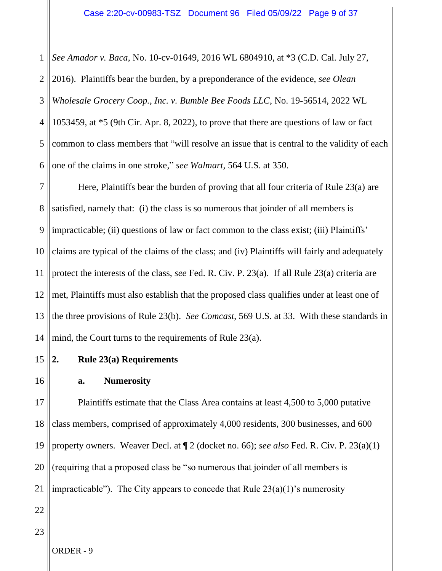1 *See Amador v. Baca*, No. 10-cv-01649, 2016 WL 6804910, at \*3 (C.D. Cal. July 27,

2 3 4 5 6 2016). Plaintiffs bear the burden, by a preponderance of the evidence, *see Olean Wholesale Grocery Coop., Inc. v. Bumble Bee Foods LLC*, No. 19-56514, 2022 WL 1053459, at \*5 (9th Cir. Apr. 8, 2022), to prove that there are questions of law or fact common to class members that "will resolve an issue that is central to the validity of each one of the claims in one stroke," *see Walmart*, 564 U.S. at 350.

7 8 9 10 11 12 13 14 Here, Plaintiffs bear the burden of proving that all four criteria of Rule 23(a) are satisfied, namely that: (i) the class is so numerous that joinder of all members is impracticable; (ii) questions of law or fact common to the class exist; (iii) Plaintiffs' claims are typical of the claims of the class; and (iv) Plaintiffs will fairly and adequately protect the interests of the class, *see* Fed. R. Civ. P. 23(a). If all Rule 23(a) criteria are met, Plaintiffs must also establish that the proposed class qualifies under at least one of the three provisions of Rule 23(b). *See Comcast*, 569 U.S. at 33. With these standards in mind, the Court turns to the requirements of Rule 23(a).

- 15 **2. Rule 23(a) Requirements**
- 16

**a. Numerosity**

17 18 19 20 21 Plaintiffs estimate that the Class Area contains at least 4,500 to 5,000 putative class members, comprised of approximately 4,000 residents, 300 businesses, and 600 property owners. Weaver Decl. at ¶ 2 (docket no. 66); *see also* Fed. R. Civ. P. 23(a)(1) (requiring that a proposed class be "so numerous that joinder of all members is impracticable"). The City appears to concede that Rule  $23(a)(1)$ 's numerosity

- 22
- 23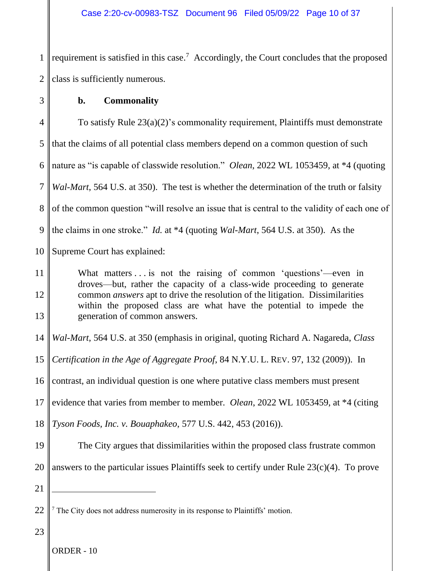1 2 requirement is satisfied in this case.<sup>7</sup> Accordingly, the Court concludes that the proposed class is sufficiently numerous.

3

# **b. Commonality**

4 5 6 7 8 9 To satisfy Rule 23(a)(2)'s commonality requirement, Plaintiffs must demonstrate that the claims of all potential class members depend on a common question of such nature as "is capable of classwide resolution." *Olean*, 2022 WL 1053459, at \*4 (quoting *Wal-Mart*, 564 U.S. at 350). The test is whether the determination of the truth or falsity of the common question "will resolve an issue that is central to the validity of each one of the claims in one stroke." *Id.* at \*4 (quoting *Wal-Mart*, 564 U.S. at 350). As the

10 Supreme Court has explained:

11 12 13 What matters . . . is not the raising of common 'questions'—even in droves—but, rather the capacity of a class-wide proceeding to generate common *answers* apt to drive the resolution of the litigation. Dissimilarities within the proposed class are what have the potential to impede the generation of common answers.

14 *Wal-Mart*, 564 U.S. at 350 (emphasis in original, quoting Richard A. Nagareda, *Class* 

15 *Certification in the Age of Aggregate Proof*, 84 N.Y.U. L. REV. 97, 132 (2009)). In

16 contrast, an individual question is one where putative class members must present

17 evidence that varies from member to member. *Olean*, 2022 WL 1053459, at \*4 (citing

18 *Tyson Foods, Inc. v. Bouaphakeo*, 577 U.S. 442, 453 (2016)).

- 19 20 The City argues that dissimilarities within the proposed class frustrate common answers to the particular issues Plaintiffs seek to certify under Rule 23(c)(4). To prove
- 21

<sup>22</sup> <sup>7</sup> The City does not address numerosity in its response to Plaintiffs' motion.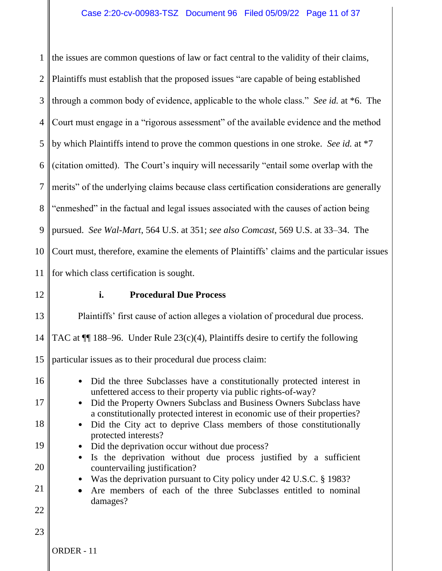1 2 3 4 5 6 7 8 9 10 11 the issues are common questions of law or fact central to the validity of their claims, Plaintiffs must establish that the proposed issues "are capable of being established through a common body of evidence, applicable to the whole class." *See id.* at \*6. The Court must engage in a "rigorous assessment" of the available evidence and the method by which Plaintiffs intend to prove the common questions in one stroke. *See id.* at \*7 (citation omitted). The Court's inquiry will necessarily "entail some overlap with the merits" of the underlying claims because class certification considerations are generally "enmeshed" in the factual and legal issues associated with the causes of action being pursued. *See Wal-Mart*, 564 U.S. at 351; *see also Comcast*, 569 U.S. at 33–34. The Court must, therefore, examine the elements of Plaintiffs' claims and the particular issues for which class certification is sought.

12

# **i. Procedural Due Process**

13 14 15 16 17 18 19 20 21 22 23 Plaintiffs' first cause of action alleges a violation of procedural due process. TAC at  $\P$  188–96. Under Rule 23(c)(4), Plaintiffs desire to certify the following particular issues as to their procedural due process claim: • Did the three Subclasses have a constitutionally protected interest in unfettered access to their property via public rights-of-way? • Did the Property Owners Subclass and Business Owners Subclass have a constitutionally protected interest in economic use of their properties? • Did the City act to deprive Class members of those constitutionally protected interests? • Did the deprivation occur without due process? • Is the deprivation without due process justified by a sufficient countervailing justification? • Was the deprivation pursuant to City policy under 42 U.S.C. § 1983? • Are members of each of the three Subclasses entitled to nominal damages?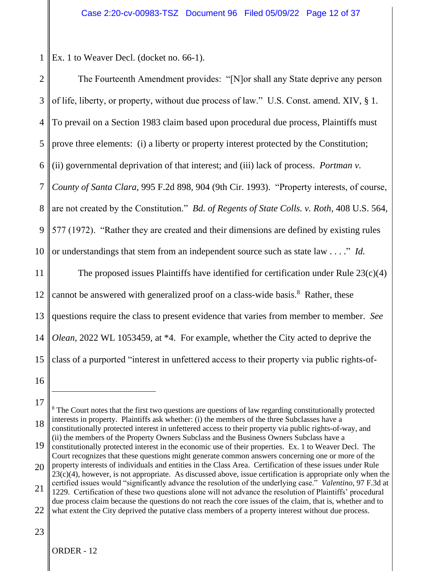1 Ex. 1 to Weaver Decl. (docket no. 66-1).

| $\mathbf{2}$   | The Fourteenth Amendment provides: "[N]or shall any State deprive any person                |
|----------------|---------------------------------------------------------------------------------------------|
| 3              | of life, liberty, or property, without due process of law." U.S. Const. amend. XIV, § 1.    |
| $\overline{4}$ | To prevail on a Section 1983 claim based upon procedural due process, Plaintiffs must       |
| 5              | prove three elements: (i) a liberty or property interest protected by the Constitution;     |
| 6              | (ii) governmental deprivation of that interest; and (iii) lack of process. Portman v.       |
| $\overline{7}$ | County of Santa Clara, 995 F.2d 898, 904 (9th Cir. 1993). "Property interests, of course,   |
| 8              | are not created by the Constitution." Bd. of Regents of State Colls. v. Roth, 408 U.S. 564, |
| 9              | 577 (1972). "Rather they are created and their dimensions are defined by existing rules     |
| 10             | or understandings that stem from an independent source such as state law" Id.               |
| 11             | The proposed issues Plaintiffs have identified for certification under Rule $23(c)(4)$      |
| 12             | cannot be answered with generalized proof on a class-wide basis. <sup>8</sup> Rather, these |
| 13             | questions require the class to present evidence that varies from member to member. See      |
| 14             | Olean, 2022 WL 1053459, at *4. For example, whether the City acted to deprive the           |
| 15             | class of a purported "interest in unfettered access to their property via public rights-of- |
| 16             |                                                                                             |
| 17             |                                                                                             |

18 <sup>8</sup> The Court notes that the first two questions are questions of law regarding constitutionally protected interests in property. Plaintiffs ask whether: (i) the members of the three Subclasses have a constitutionally protected interest in unfettered access to their property via public rights-of-way, and (ii) the members of the Property Owners Subclass and the Business Owners Subclass have a

<sup>19</sup> constitutionally protected interest in the economic use of their properties. Ex. 1 to Weaver Decl. The Court recognizes that these questions might generate common answers concerning one or more of the

<sup>20</sup> property interests of individuals and entities in the Class Area. Certification of these issues under Rule  $23(c)(4)$ , however, is not appropriate. As discussed above, issue certification is appropriate only when the

<sup>21</sup> certified issues would "significantly advance the resolution of the underlying case." *Valentino*, 97 F.3d at 1229. Certification of these two questions alone will not advance the resolution of Plaintiffs' procedural due process claim because the questions do not reach the core issues of the claim, that is, whether and to

<sup>22</sup> what extent the City deprived the putative class members of a property interest without due process.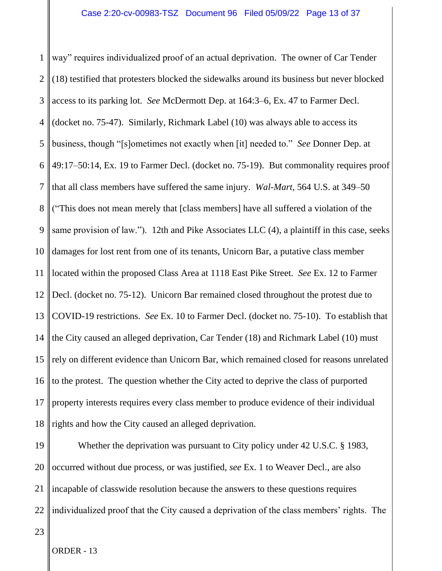1 2 3 4 5 6 7 8 9 10 11 12 13 14 15 16 17 18 way" requires individualized proof of an actual deprivation. The owner of Car Tender (18) testified that protesters blocked the sidewalks around its business but never blocked access to its parking lot. *See* McDermott Dep. at 164:3–6, Ex. 47 to Farmer Decl. (docket no. 75-47). Similarly, Richmark Label (10) was always able to access its business, though "[s]ometimes not exactly when [it] needed to." *See* Donner Dep. at 49:17–50:14, Ex. 19 to Farmer Decl. (docket no. 75-19). But commonality requires proof that all class members have suffered the same injury. *Wal-Mart*, 564 U.S. at 349–50 ("This does not mean merely that [class members] have all suffered a violation of the same provision of law."). 12th and Pike Associates LLC (4), a plaintiff in this case, seeks damages for lost rent from one of its tenants, Unicorn Bar, a putative class member located within the proposed Class Area at 1118 East Pike Street. *See* Ex. 12 to Farmer Decl. (docket no. 75-12). Unicorn Bar remained closed throughout the protest due to COVID-19 restrictions. *See* Ex. 10 to Farmer Decl. (docket no. 75-10). To establish that the City caused an alleged deprivation, Car Tender (18) and Richmark Label (10) must rely on different evidence than Unicorn Bar, which remained closed for reasons unrelated to the protest. The question whether the City acted to deprive the class of purported property interests requires every class member to produce evidence of their individual rights and how the City caused an alleged deprivation.

19 20 21 22 Whether the deprivation was pursuant to City policy under 42 U.S.C. § 1983, occurred without due process, or was justified, *see* Ex. 1 to Weaver Decl., are also incapable of classwide resolution because the answers to these questions requires individualized proof that the City caused a deprivation of the class members' rights. The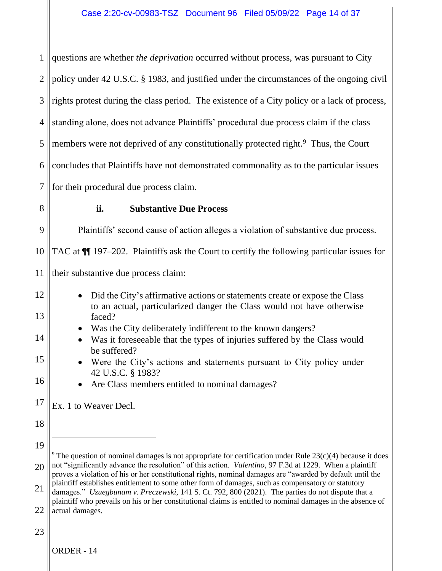1 2 3 4 5 6 7 8 9 10 11 12 13 14 15 16 17 18 19 20 21 22 23 questions are whether *the deprivation* occurred without process, was pursuant to City policy under 42 U.S.C. § 1983, and justified under the circumstances of the ongoing civil rights protest during the class period. The existence of a City policy or a lack of process, standing alone, does not advance Plaintiffs' procedural due process claim if the class members were not deprived of any constitutionally protected right.<sup>9</sup> Thus, the Court concludes that Plaintiffs have not demonstrated commonality as to the particular issues for their procedural due process claim. **ii. Substantive Due Process** Plaintiffs' second cause of action alleges a violation of substantive due process. TAC at ¶¶ 197–202. Plaintiffs ask the Court to certify the following particular issues for their substantive due process claim: • Did the City's affirmative actions or statements create or expose the Class to an actual, particularized danger the Class would not have otherwise faced? • Was the City deliberately indifferent to the known dangers? • Was it foreseeable that the types of injuries suffered by the Class would be suffered? • Were the City's actions and statements pursuant to City policy under 42 U.S.C. § 1983? • Are Class members entitled to nominal damages? Ex. 1 to Weaver Decl. <sup>9</sup> The question of nominal damages is not appropriate for certification under Rule  $23(c)(4)$  because it does not "significantly advance the resolution" of this action. *Valentino*, 97 F.3d at 1229. When a plaintiff proves a violation of his or her constitutional rights, nominal damages are "awarded by default until the plaintiff establishes entitlement to some other form of damages, such as compensatory or statutory damages." *Uzuegbunam v. Preczewski*, 141 S. Ct. 792, 800 (2021). The parties do not dispute that a plaintiff who prevails on his or her constitutional claims is entitled to nominal damages in the absence of actual damages.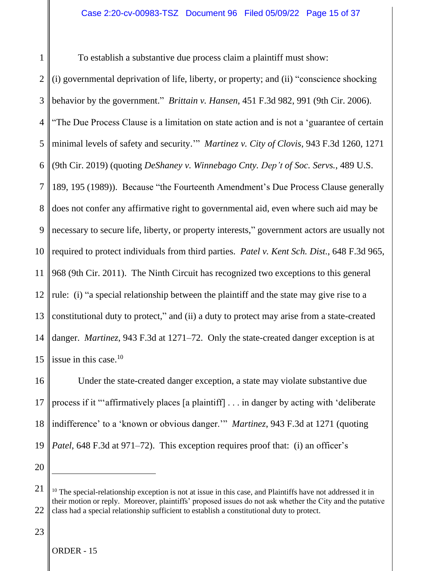1 2 3 4 5 6 7 8 9 10 11 12 13 14 15 To establish a substantive due process claim a plaintiff must show: (i) governmental deprivation of life, liberty, or property; and (ii) "conscience shocking behavior by the government." *Brittain v. Hansen*, 451 F.3d 982, 991 (9th Cir. 2006). "The Due Process Clause is a limitation on state action and is not a 'guarantee of certain minimal levels of safety and security.'" *Martinez v. City of Clovis*, 943 F.3d 1260, 1271 (9th Cir. 2019) (quoting *DeShaney v. Winnebago Cnty. Dep't of Soc. Servs.*, 489 U.S. 189, 195 (1989)). Because "the Fourteenth Amendment's Due Process Clause generally does not confer any affirmative right to governmental aid, even where such aid may be necessary to secure life, liberty, or property interests," government actors are usually not required to protect individuals from third parties. *Patel v. Kent Sch. Dist.*, 648 F.3d 965, 968 (9th Cir. 2011). The Ninth Circuit has recognized two exceptions to this general rule: (i) "a special relationship between the plaintiff and the state may give rise to a constitutional duty to protect," and (ii) a duty to protect may arise from a state-created danger. *Martinez*, 943 F.3d at 1271–72. Only the state-created danger exception is at issue in this case.<sup>10</sup>

16 17 18 19 Under the state-created danger exception, a state may violate substantive due process if it "'affirmatively places [a plaintiff] . . . in danger by acting with 'deliberate indifference' to a 'known or obvious danger.'" *Martinez*, 943 F.3d at 1271 (quoting *Patel*, 648 F.3d at 971–72). This exception requires proof that: (i) an officer's

20

<sup>21</sup> 22  $10$  The special-relationship exception is not at issue in this case, and Plaintiffs have not addressed it in their motion or reply. Moreover, plaintiffs' proposed issues do not ask whether the City and the putative class had a special relationship sufficient to establish a constitutional duty to protect.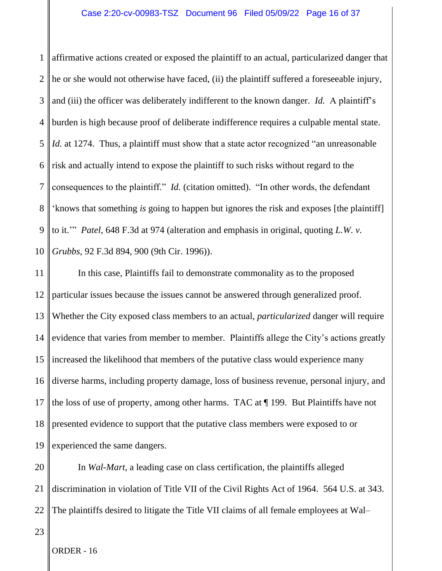1 2 3 4 5 6 7 8 9 10 affirmative actions created or exposed the plaintiff to an actual, particularized danger that he or she would not otherwise have faced, (ii) the plaintiff suffered a foreseeable injury, and (iii) the officer was deliberately indifferent to the known danger. *Id.* A plaintiff's burden is high because proof of deliberate indifference requires a culpable mental state. *Id.* at 1274. Thus, a plaintiff must show that a state actor recognized "an unreasonable risk and actually intend to expose the plaintiff to such risks without regard to the consequences to the plaintiff." *Id.* (citation omitted). "In other words, the defendant 'knows that something *is* going to happen but ignores the risk and exposes [the plaintiff] to it.'" *Patel*, 648 F.3d at 974 (alteration and emphasis in original, quoting *L.W. v. Grubbs*, 92 F.3d 894, 900 (9th Cir. 1996)).

11 12 13 14 15 16 17 18 19 In this case, Plaintiffs fail to demonstrate commonality as to the proposed particular issues because the issues cannot be answered through generalized proof. Whether the City exposed class members to an actual, *particularized* danger will require evidence that varies from member to member. Plaintiffs allege the City's actions greatly increased the likelihood that members of the putative class would experience many diverse harms, including property damage, loss of business revenue, personal injury, and the loss of use of property, among other harms. TAC at ¶ 199. But Plaintiffs have not presented evidence to support that the putative class members were exposed to or experienced the same dangers.

20 21 22 In *Wal-Mart*, a leading case on class certification, the plaintiffs alleged discrimination in violation of Title VII of the Civil Rights Act of 1964. 564 U.S. at 343. The plaintiffs desired to litigate the Title VII claims of all female employees at Wal–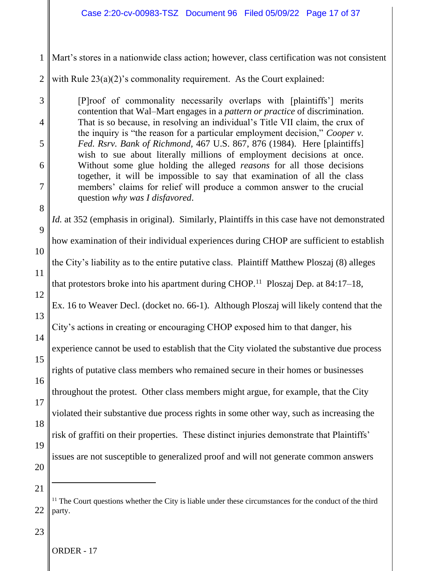- 1 Mart's stores in a nationwide class action; however, class certification was not consistent
- 2 with Rule  $23(a)(2)$ 's commonality requirement. As the Court explained:

[P]roof of commonality necessarily overlaps with [plaintiffs'] merits contention that Wal–Mart engages in a *pattern or practice* of discrimination. That is so because, in resolving an individual's Title VII claim, the crux of the inquiry is "the reason for a particular employment decision," *Cooper v. Fed. Rsrv. Bank of Richmond,* 467 U.S. 867, 876 (1984). Here [plaintiffs] wish to sue about literally millions of employment decisions at once. Without some glue holding the alleged *reasons* for all those decisions together, it will be impossible to say that examination of all the class members' claims for relief will produce a common answer to the crucial question *why was I disfavored*.

9 10 11 12 13 14 15 16 17 18 19 20 *Id.* at 352 (emphasis in original). Similarly, Plaintiffs in this case have not demonstrated how examination of their individual experiences during CHOP are sufficient to establish the City's liability as to the entire putative class. Plaintiff Matthew Ploszaj (8) alleges that protestors broke into his apartment during CHOP.<sup>11</sup> Ploszaj Dep. at 84:17–18, Ex. 16 to Weaver Decl. (docket no. 66-1). Although Ploszaj will likely contend that the City's actions in creating or encouraging CHOP exposed him to that danger, his experience cannot be used to establish that the City violated the substantive due process rights of putative class members who remained secure in their homes or businesses throughout the protest. Other class members might argue, for example, that the City violated their substantive due process rights in some other way, such as increasing the risk of graffiti on their properties. These distinct injuries demonstrate that Plaintiffs' issues are not susceptible to generalized proof and will not generate common answers

21

3

4

5

6

7

8

23

<sup>&</sup>lt;sup>11</sup> The Court questions whether the City is liable under these circumstances for the conduct of the third party.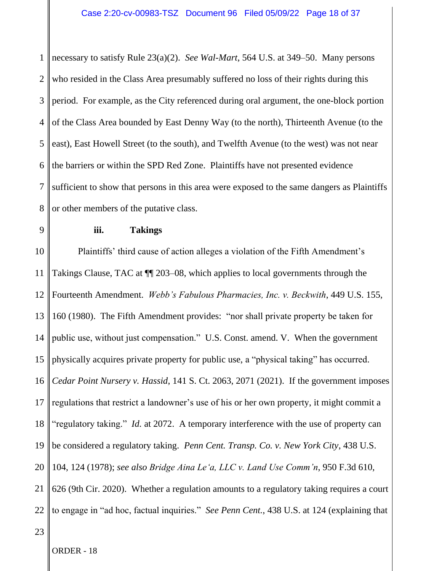1 2 3 4 5 6 7 8 necessary to satisfy Rule 23(a)(2). *See Wal-Mart*, 564 U.S. at 349–50. Many persons who resided in the Class Area presumably suffered no loss of their rights during this period. For example, as the City referenced during oral argument, the one-block portion of the Class Area bounded by East Denny Way (to the north), Thirteenth Avenue (to the east), East Howell Street (to the south), and Twelfth Avenue (to the west) was not near the barriers or within the SPD Red Zone. Plaintiffs have not presented evidence sufficient to show that persons in this area were exposed to the same dangers as Plaintiffs or other members of the putative class.

9

# **iii. Takings**

10 11 12 13 14 15 16 17 18 19 20 21 22 Plaintiffs' third cause of action alleges a violation of the Fifth Amendment's Takings Clause, TAC at ¶¶ 203–08, which applies to local governments through the Fourteenth Amendment. *Webb's Fabulous Pharmacies, Inc. v. Beckwith*, 449 U.S. 155, 160 (1980). The Fifth Amendment provides: "nor shall private property be taken for public use, without just compensation." U.S. Const. amend. V. When the government physically acquires private property for public use, a "physical taking" has occurred. *Cedar Point Nursery v. Hassid*, 141 S. Ct. 2063, 2071 (2021). If the government imposes regulations that restrict a landowner's use of his or her own property, it might commit a "regulatory taking." *Id.* at 2072. A temporary interference with the use of property can be considered a regulatory taking. *Penn Cent. Transp. Co. v. New York City*, 438 U.S. 104, 124 (1978); *see also Bridge Aina Le'a, LLC v. Land Use Comm'n*, 950 F.3d 610, 626 (9th Cir. 2020). Whether a regulation amounts to a regulatory taking requires a court to engage in "ad hoc, factual inquiries." *See Penn Cent.*, 438 U.S. at 124 (explaining that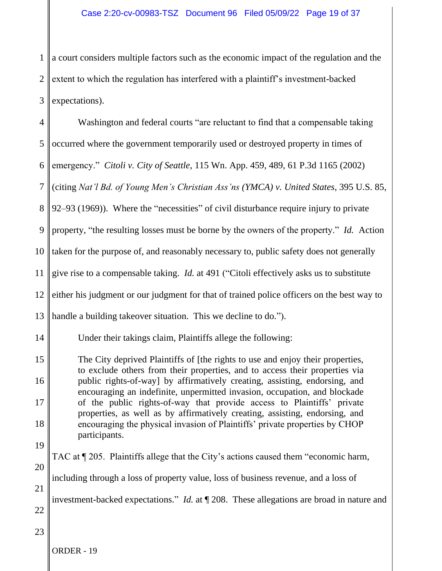1 2 3 a court considers multiple factors such as the economic impact of the regulation and the extent to which the regulation has interfered with a plaintiff's investment-backed expectations).

| $\overline{4}$ | Washington and federal courts "are reluctant to find that a compensable taking                                                                                |
|----------------|---------------------------------------------------------------------------------------------------------------------------------------------------------------|
| 5              | occurred where the government temporarily used or destroyed property in times of                                                                              |
| 6              | emergency." Citoli v. City of Seattle, 115 Wn. App. 459, 489, 61 P.3d 1165 (2002)                                                                             |
| $\overline{7}$ | (citing Nat'l Bd. of Young Men's Christian Ass'ns (YMCA) v. United States, 395 U.S. 85,                                                                       |
| 8              | 92–93 (1969)). Where the "necessities" of civil disturbance require injury to private                                                                         |
| 9              | property, "the resulting losses must be borne by the owners of the property." Id. Action                                                                      |
| 10             | taken for the purpose of, and reasonably necessary to, public safety does not generally                                                                       |
| 11             | give rise to a compensable taking. <i>Id.</i> at 491 ("Citoli effectively asks us to substitute                                                               |
| 12             | either his judgment or our judgment for that of trained police officers on the best way to                                                                    |
| 13             | handle a building takeover situation. This we decline to do.").                                                                                               |
| 14             | Under their takings claim, Plaintiffs allege the following:                                                                                                   |
| 15             | The City deprived Plaintiffs of [the rights to use and enjoy their properties,<br>to exclude others from their properties, and to access their properties via |
| 16             | public rights-of-way] by affirmatively creating, assisting, endorsing, and<br>encouraging an indefinite, unpermitted invasion, occupation, and blockade       |
| 17             | of the public rights-of-way that provide access to Plaintiffs' private<br>properties, as well as by affirmatively creating, assisting, endorsing, and         |
| 18             | encouraging the physical invasion of Plaintiffs' private properties by CHOP<br>participants.                                                                  |
| 19             |                                                                                                                                                               |
| 20             | TAC at ¶ 205. Plaintiffs allege that the City's actions caused them "economic harm,                                                                           |
| 21             | including through a loss of property value, loss of business revenue, and a loss of                                                                           |
| 22             | investment-backed expectations." <i>Id.</i> at $\P$ 208. These allegations are broad in nature and                                                            |
| 23             |                                                                                                                                                               |
|                | ORDER - 19                                                                                                                                                    |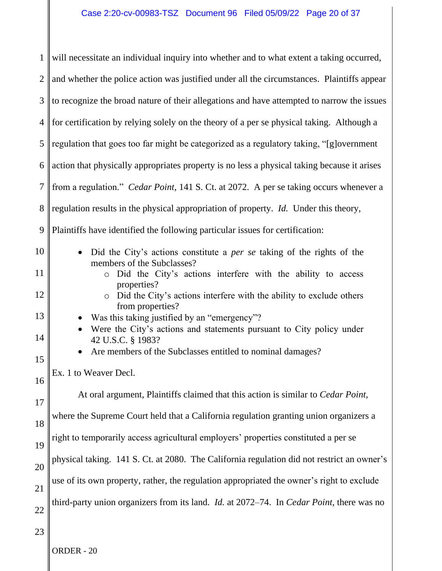| $\mathbf{1}$   | will necessitate an individual inquiry into whether and to what extent a taking occurred,                   |  |  |
|----------------|-------------------------------------------------------------------------------------------------------------|--|--|
| $\overline{2}$ | and whether the police action was justified under all the circumstances. Plaintiffs appear                  |  |  |
| 3              | to recognize the broad nature of their allegations and have attempted to narrow the issues                  |  |  |
| $\overline{4}$ | for certification by relying solely on the theory of a per se physical taking. Although a                   |  |  |
| 5              | regulation that goes too far might be categorized as a regulatory taking, "[g]overnment                     |  |  |
| 6              | action that physically appropriates property is no less a physical taking because it arises                 |  |  |
| 7              | from a regulation." Cedar Point, 141 S. Ct. at 2072. A per se taking occurs whenever a                      |  |  |
| 8              | regulation results in the physical appropriation of property. Id. Under this theory,                        |  |  |
| 9              | Plaintiffs have identified the following particular issues for certification:                               |  |  |
| 10             | Did the City's actions constitute a <i>per se</i> taking of the rights of the<br>members of the Subclasses? |  |  |
| 11             | Did the City's actions interfere with the ability to access<br>$\circ$<br>properties?                       |  |  |
| 12             | • Did the City's actions interfere with the ability to exclude others<br>from properties?                   |  |  |
| 13             | Was this taking justified by an "emergency"?                                                                |  |  |
| 14             | Were the City's actions and statements pursuant to City policy under<br>42 U.S.C. § 1983?                   |  |  |
| 15             | Are members of the Subclasses entitled to nominal damages?                                                  |  |  |
| 16             | Ex. 1 to Weaver Decl.                                                                                       |  |  |
| 17             | At oral argument, Plaintiffs claimed that this action is similar to Cedar Point,                            |  |  |
| 18             | where the Supreme Court held that a California regulation granting union organizers a                       |  |  |
| 19             | right to temporarily access agricultural employers' properties constituted a per se                         |  |  |
| 20             | physical taking. 141 S. Ct. at 2080. The California regulation did not restrict an owner's                  |  |  |
| 21             | use of its own property, rather, the regulation appropriated the owner's right to exclude                   |  |  |
| 22             | third-party union organizers from its land. <i>Id.</i> at 2072–74. In <i>Cedar Point</i> , there was no     |  |  |
| 23             |                                                                                                             |  |  |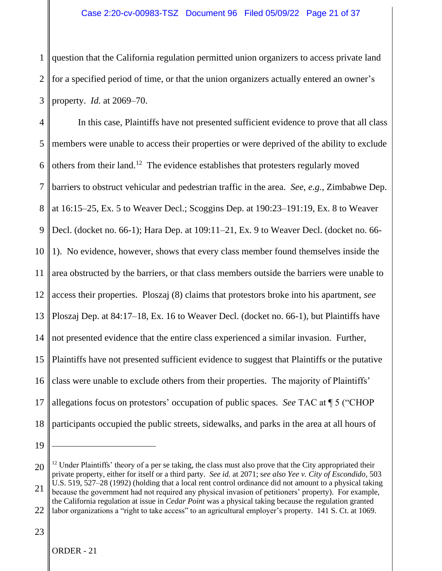1 2 3 question that the California regulation permitted union organizers to access private land for a specified period of time, or that the union organizers actually entered an owner's property. *Id.* at 2069–70.

4 5 6 7 8 9 10 11 12 13 14 15 16 17 18 In this case, Plaintiffs have not presented sufficient evidence to prove that all class members were unable to access their properties or were deprived of the ability to exclude others from their land.<sup>12</sup> The evidence establishes that protesters regularly moved barriers to obstruct vehicular and pedestrian traffic in the area. *See*, *e.g.*, Zimbabwe Dep. at 16:15–25, Ex. 5 to Weaver Decl.; Scoggins Dep. at 190:23–191:19, Ex. 8 to Weaver Decl. (docket no. 66-1); Hara Dep. at 109:11–21, Ex. 9 to Weaver Decl. (docket no. 66- 1). No evidence, however, shows that every class member found themselves inside the area obstructed by the barriers, or that class members outside the barriers were unable to access their properties. Ploszaj (8) claims that protestors broke into his apartment, *see*  Ploszaj Dep. at 84:17–18, Ex. 16 to Weaver Decl. (docket no. 66-1), but Plaintiffs have not presented evidence that the entire class experienced a similar invasion. Further, Plaintiffs have not presented sufficient evidence to suggest that Plaintiffs or the putative class were unable to exclude others from their properties. The majority of Plaintiffs' allegations focus on protestors' occupation of public spaces. *See* TAC at ¶ 5 ("CHOP participants occupied the public streets, sidewalks, and parks in the area at all hours of

<sup>20</sup> 21 22 <sup>12</sup> Under Plaintiffs' theory of a per se taking, the class must also prove that the City appropriated their private property, either for itself or a third party. *See id.* at 2071; s*ee also Yee v. City of Escondido*, 503 U.S. 519, 527–28 (1992) (holding that a local rent control ordinance did not amount to a physical taking because the government had not required any physical invasion of petitioners' property). For example, the California regulation at issue in *Cedar Point* was a physical taking because the regulation granted labor organizations a "right to take access" to an agricultural employer's property. 141 S. Ct. at 1069.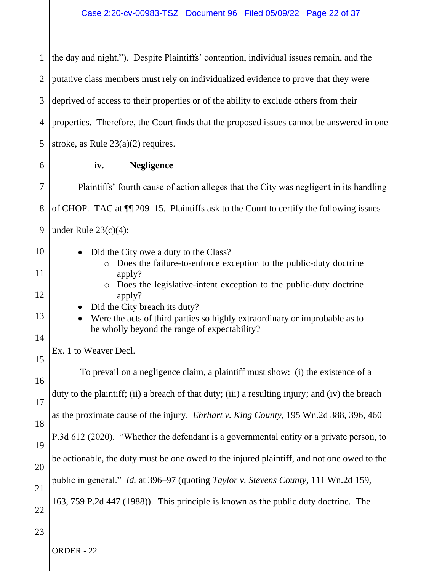1 2 3 4 5 6 7 8 9 10 11 12 13 14 15 16 17 18 19 20 21 22 23 ORDER - 22 the day and night."). Despite Plaintiffs' contention, individual issues remain, and the putative class members must rely on individualized evidence to prove that they were deprived of access to their properties or of the ability to exclude others from their properties. Therefore, the Court finds that the proposed issues cannot be answered in one stroke, as Rule 23(a)(2) requires. **iv. Negligence** Plaintiffs' fourth cause of action alleges that the City was negligent in its handling of CHOP. TAC at ¶¶ 209–15. Plaintiffs ask to the Court to certify the following issues under Rule  $23(c)(4)$ : • Did the City owe a duty to the Class? o Does the failure-to-enforce exception to the public-duty doctrine apply? o Does the legislative-intent exception to the public-duty doctrine apply? • Did the City breach its duty? • Were the acts of third parties so highly extraordinary or improbable as to be wholly beyond the range of expectability? Ex. 1 to Weaver Decl. To prevail on a negligence claim, a plaintiff must show: (i) the existence of a duty to the plaintiff; (ii) a breach of that duty; (iii) a resulting injury; and (iv) the breach as the proximate cause of the injury. *Ehrhart v. King County*, 195 Wn.2d 388, 396, 460 P.3d 612 (2020). "Whether the defendant is a governmental entity or a private person, to be actionable, the duty must be one owed to the injured plaintiff, and not one owed to the public in general." *Id.* at 396–97 (quoting *Taylor v. Stevens County*, 111 Wn.2d 159, 163, 759 P.2d 447 (1988)). This principle is known as the public duty doctrine. The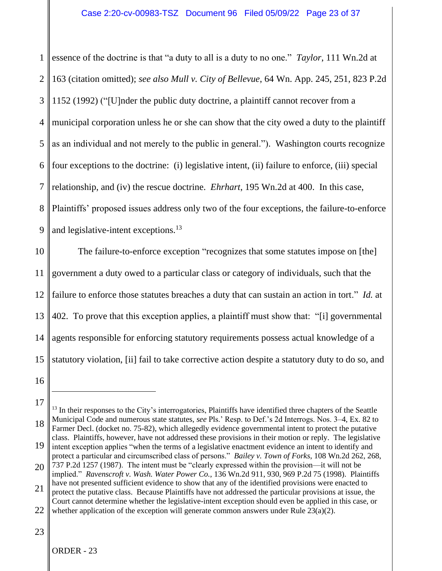1 2 3 4 5 6 7 8 9 essence of the doctrine is that "a duty to all is a duty to no one." *Taylor*, 111 Wn.2d at 163 (citation omitted); *see also Mull v. City of Bellevue*, 64 Wn. App. 245, 251, 823 P.2d 1152 (1992) ("[U]nder the public duty doctrine, a plaintiff cannot recover from a municipal corporation unless he or she can show that the city owed a duty to the plaintiff as an individual and not merely to the public in general."). Washington courts recognize four exceptions to the doctrine: (i) legislative intent, (ii) failure to enforce, (iii) special relationship, and (iv) the rescue doctrine. *Ehrhart*, 195 Wn.2d at 400. In this case, Plaintiffs' proposed issues address only two of the four exceptions, the failure-to-enforce and legislative-intent exceptions.<sup>13</sup>

10 11 12 13 14 15 The failure-to-enforce exception "recognizes that some statutes impose on [the] government a duty owed to a particular class or category of individuals, such that the failure to enforce those statutes breaches a duty that can sustain an action in tort." *Id.* at 402. To prove that this exception applies, a plaintiff must show that: "[i] governmental agents responsible for enforcing statutory requirements possess actual knowledge of a statutory violation, [ii] fail to take corrective action despite a statutory duty to do so, and

16

<sup>17</sup> 18 <sup>13</sup> In their responses to the City's interrogatories, Plaintiffs have identified three chapters of the Seattle Municipal Code and numerous state statutes, *see* Pls.' Resp. to Def.'s 2d Interrogs. Nos. 3–4, Ex. 82 to Farmer Decl. (docket no. 75-82), which allegedly evidence governmental intent to protect the putative class. Plaintiffs, however, have not addressed these provisions in their motion or reply. The legislative

<sup>19</sup> intent exception applies "when the terms of a legislative enactment evidence an intent to identify and protect a particular and circumscribed class of persons." *Bailey v. Town of Forks*, 108 Wn.2d 262, 268,

<sup>20</sup> 21 737 P.2d 1257 (1987). The intent must be "clearly expressed within the provision—it will not be implied." *Ravenscroft v. Wash. Water Power Co.*, 136 Wn.2d 911, 930, 969 P.2d 75 (1998). Plaintiffs have not presented sufficient evidence to show that any of the identified provisions were enacted to protect the putative class. Because Plaintiffs have not addressed the particular provisions at issue, the Court cannot determine whether the legislative-intent exception should even be applied in this case, or

<sup>22</sup> whether application of the exception will generate common answers under Rule  $23(a)(2)$ .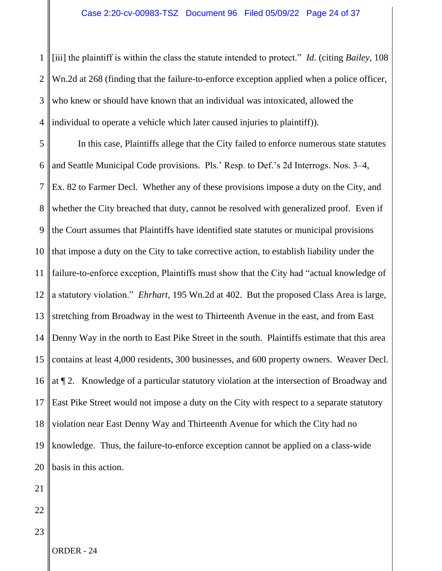1 2 3 4 [iii] the plaintiff is within the class the statute intended to protect." *Id.* (citing *Bailey*, 108 Wn.2d at 268 (finding that the failure-to-enforce exception applied when a police officer, who knew or should have known that an individual was intoxicated, allowed the individual to operate a vehicle which later caused injuries to plaintiff)).

5 6 7 8 9 10 11 12 13 14 15 16 17 18 19 20 21 In this case, Plaintiffs allege that the City failed to enforce numerous state statutes and Seattle Municipal Code provisions. Pls.' Resp. to Def.'s 2d Interrogs. Nos. 3–4, Ex. 82 to Farmer Decl. Whether any of these provisions impose a duty on the City, and whether the City breached that duty, cannot be resolved with generalized proof. Even if the Court assumes that Plaintiffs have identified state statutes or municipal provisions that impose a duty on the City to take corrective action, to establish liability under the failure-to-enforce exception, Plaintiffs must show that the City had "actual knowledge of a statutory violation." *Ehrhart*, 195 Wn.2d at 402. But the proposed Class Area is large, stretching from Broadway in the west to Thirteenth Avenue in the east, and from East Denny Way in the north to East Pike Street in the south. Plaintiffs estimate that this area contains at least 4,000 residents, 300 businesses, and 600 property owners. Weaver Decl. at ¶ 2. Knowledge of a particular statutory violation at the intersection of Broadway and East Pike Street would not impose a duty on the City with respect to a separate statutory violation near East Denny Way and Thirteenth Avenue for which the City had no knowledge. Thus, the failure-to-enforce exception cannot be applied on a class-wide basis in this action.

23

22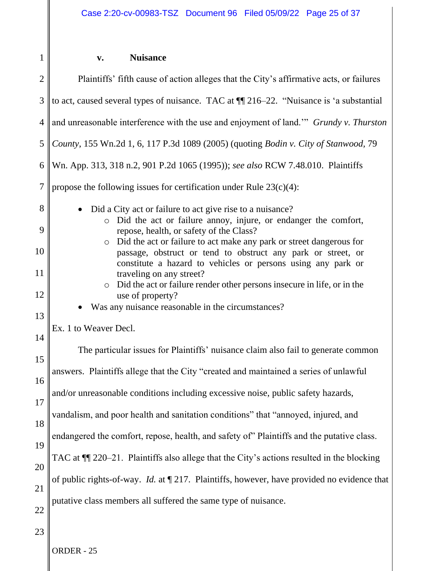# 1

# **v. Nuisance**

| $\overline{2}$ | Plaintiffs' fifth cause of action alleges that the City's affirmative acts, or failures                                                                                                                        |  |  |
|----------------|----------------------------------------------------------------------------------------------------------------------------------------------------------------------------------------------------------------|--|--|
| 3              | to act, caused several types of nuisance. TAC at ¶ 216-22. "Nuisance is 'a substantial                                                                                                                         |  |  |
| $\overline{4}$ | and unreasonable interference with the use and enjoyment of land." Grundy v. Thurston                                                                                                                          |  |  |
| $\mathfrak{S}$ | County, 155 Wn.2d 1, 6, 117 P.3d 1089 (2005) (quoting Bodin v. City of Stanwood, 79                                                                                                                            |  |  |
| 6              | Wn. App. 313, 318 n.2, 901 P.2d 1065 (1995)); see also RCW 7.48.010. Plaintiffs                                                                                                                                |  |  |
| $\overline{7}$ | propose the following issues for certification under Rule $23(c)(4)$ :                                                                                                                                         |  |  |
| 8              | Did a City act or failure to act give rise to a nuisance?<br>Did the act or failure annoy, injure, or endanger the comfort,<br>$\circ$                                                                         |  |  |
| 9              | repose, health, or safety of the Class?                                                                                                                                                                        |  |  |
| 10             | Did the act or failure to act make any park or street dangerous for<br>$\circ$<br>passage, obstruct or tend to obstruct any park or street, or<br>constitute a hazard to vehicles or persons using any park or |  |  |
| 11             | traveling on any street?                                                                                                                                                                                       |  |  |
| 12             | • Did the act or failure render other persons insecure in life, or in the<br>use of property?                                                                                                                  |  |  |
| 13             | Was any nuisance reasonable in the circumstances?                                                                                                                                                              |  |  |
| 14             | Ex. 1 to Weaver Decl.                                                                                                                                                                                          |  |  |
| 15             | The particular issues for Plaintiffs' nuisance claim also fail to generate common                                                                                                                              |  |  |
| 16             | answers. Plaintiffs allege that the City "created and maintained a series of unlawful                                                                                                                          |  |  |
| 17             | and/or unreasonable conditions including excessive noise, public safety hazards,                                                                                                                               |  |  |
| 18             | vandalism, and poor health and sanitation conditions" that "annoyed, injured, and                                                                                                                              |  |  |
| 19             | endangered the comfort, repose, health, and safety of" Plaintiffs and the putative class.                                                                                                                      |  |  |
| 20             | TAC at ¶ 220-21. Plaintiffs also allege that the City's actions resulted in the blocking                                                                                                                       |  |  |
| 21             | of public rights-of-way. <i>Id.</i> at $\P$ 217. Plaintiffs, however, have provided no evidence that                                                                                                           |  |  |
| 22             | putative class members all suffered the same type of nuisance.                                                                                                                                                 |  |  |
| 23             |                                                                                                                                                                                                                |  |  |
|                | ORDER - 25                                                                                                                                                                                                     |  |  |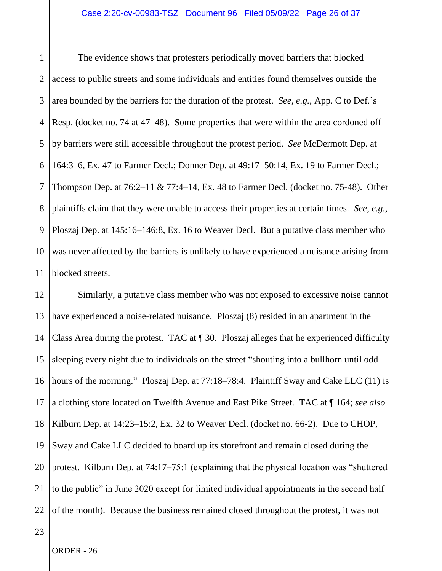1 2 3 4 5 6 7 8 9 10 11 The evidence shows that protesters periodically moved barriers that blocked access to public streets and some individuals and entities found themselves outside the area bounded by the barriers for the duration of the protest. *See*, *e.g.*, App. C to Def.'s Resp. (docket no. 74 at 47–48).Some properties that were within the area cordoned off by barriers were still accessible throughout the protest period. *See* McDermott Dep. at 164:3–6, Ex. 47 to Farmer Decl.; Donner Dep. at 49:17–50:14, Ex. 19 to Farmer Decl.; Thompson Dep. at 76:2–11 & 77:4–14, Ex. 48 to Farmer Decl. (docket no. 75-48). Other plaintiffs claim that they were unable to access their properties at certain times. *See*, *e.g.*, Ploszaj Dep. at 145:16–146:8, Ex. 16 to Weaver Decl. But a putative class member who was never affected by the barriers is unlikely to have experienced a nuisance arising from blocked streets.

12 13 14 15 16 17 18 19 20 21 22 Similarly, a putative class member who was not exposed to excessive noise cannot have experienced a noise-related nuisance. Ploszaj (8) resided in an apartment in the Class Area during the protest. TAC at ¶ 30. Ploszaj alleges that he experienced difficulty sleeping every night due to individuals on the street "shouting into a bullhorn until odd hours of the morning." Ploszaj Dep. at 77:18–78:4. Plaintiff Sway and Cake LLC (11) is a clothing store located on Twelfth Avenue and East Pike Street. TAC at ¶ 164; *see also*  Kilburn Dep. at 14:23–15:2, Ex. 32 to Weaver Decl. (docket no. 66-2). Due to CHOP, Sway and Cake LLC decided to board up its storefront and remain closed during the protest. Kilburn Dep. at 74:17–75:1 (explaining that the physical location was "shuttered to the public" in June 2020 except for limited individual appointments in the second half of the month). Because the business remained closed throughout the protest, it was not

23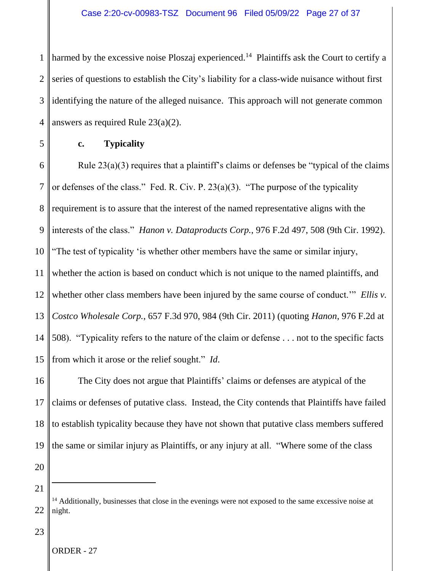1 2 3 4 harmed by the excessive noise Ploszaj experienced.<sup>14</sup> Plaintiffs ask the Court to certify a series of questions to establish the City's liability for a class-wide nuisance without first identifying the nature of the alleged nuisance. This approach will not generate common answers as required Rule 23(a)(2).

5

# **c. Typicality**

6 7 8 9 10 11 12 13 14 15 Rule 23(a)(3) requires that a plaintiff's claims or defenses be "typical of the claims or defenses of the class." Fed. R. Civ. P. 23(a)(3). "The purpose of the typicality requirement is to assure that the interest of the named representative aligns with the interests of the class." *Hanon v. Dataproducts Corp.*, 976 F.2d 497, 508 (9th Cir. 1992). "The test of typicality 'is whether other members have the same or similar injury, whether the action is based on conduct which is not unique to the named plaintiffs, and whether other class members have been injured by the same course of conduct." *Ellis v*. *Costco Wholesale Corp.*, 657 F.3d 970, 984 (9th Cir. 2011) (quoting *Hanon*, 976 F.2d at 508). "Typicality refers to the nature of the claim or defense . . . not to the specific facts from which it arose or the relief sought." *Id*.

16 17 18 19 The City does not argue that Plaintiffs' claims or defenses are atypical of the claims or defenses of putative class. Instead, the City contends that Plaintiffs have failed to establish typicality because they have not shown that putative class members suffered the same or similar injury as Plaintiffs, or any injury at all. "Where some of the class

20 21

# 23

<sup>&</sup>lt;sup>14</sup> Additionally, businesses that close in the evenings were not exposed to the same excessive noise at night.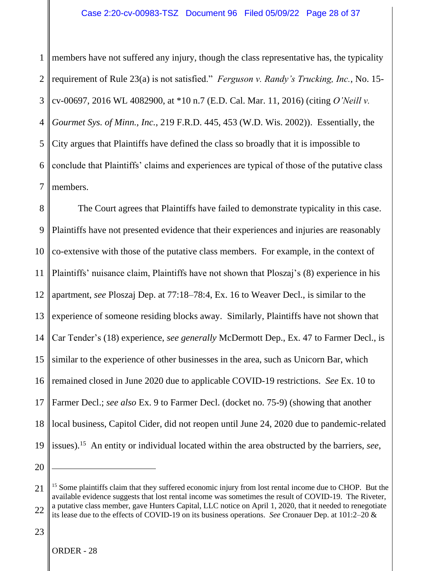1 2 3 4 5 6 7 members have not suffered any injury, though the class representative has, the typicality requirement of Rule 23(a) is not satisfied." *Ferguson v. Randy's Trucking, Inc.*, No. 15 cv-00697, 2016 WL 4082900, at \*10 n.7 (E.D. Cal. Mar. 11, 2016) (citing *O'Neill v. Gourmet Sys. of Minn., Inc.*, 219 F.R.D. 445, 453 (W.D. Wis. 2002)). Essentially, the City argues that Plaintiffs have defined the class so broadly that it is impossible to conclude that Plaintiffs' claims and experiences are typical of those of the putative class members.

8 9 10 11 12 13 14 15 16 17 18 19 The Court agrees that Plaintiffs have failed to demonstrate typicality in this case. Plaintiffs have not presented evidence that their experiences and injuries are reasonably co-extensive with those of the putative class members. For example, in the context of Plaintiffs' nuisance claim, Plaintiffs have not shown that Ploszaj's (8) experience in his apartment, *see* Ploszaj Dep. at 77:18–78:4, Ex. 16 to Weaver Decl., is similar to the experience of someone residing blocks away. Similarly, Plaintiffs have not shown that Car Tender's (18) experience, *see generally* McDermott Dep., Ex. 47 to Farmer Decl., is similar to the experience of other businesses in the area, such as Unicorn Bar, which remained closed in June 2020 due to applicable COVID-19 restrictions. *See* Ex. 10 to Farmer Decl.; *see also* Ex. 9 to Farmer Decl. (docket no. 75-9) (showing that another local business, Capitol Cider, did not reopen until June 24, 2020 due to pandemic-related issues). 15 An entity or individual located within the area obstructed by the barriers, *see*,

<sup>21</sup> 22 <sup>15</sup> Some plaintiffs claim that they suffered economic injury from lost rental income due to CHOP. But the available evidence suggests that lost rental income was sometimes the result of COVID-19. The Riveter, a putative class member, gave Hunters Capital, LLC notice on April 1, 2020, that it needed to renegotiate its lease due to the effects of COVID-19 on its business operations. *See* Cronauer Dep. at 101:2–20 &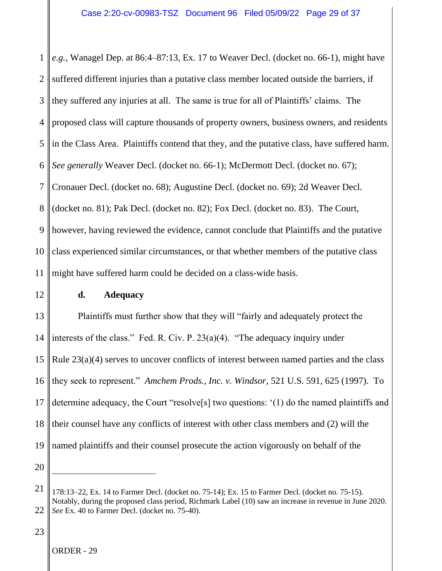1 2 3 4 5 6 7 8 9 10 11 *e.g.*, Wanagel Dep. at 86:4–87:13, Ex. 17 to Weaver Decl. (docket no. 66-1), might have suffered different injuries than a putative class member located outside the barriers, if they suffered any injuries at all. The same is true for all of Plaintiffs' claims. The proposed class will capture thousands of property owners, business owners, and residents in the Class Area. Plaintiffs contend that they, and the putative class, have suffered harm. *See generally* Weaver Decl. (docket no. 66-1); McDermott Decl. (docket no. 67); Cronauer Decl. (docket no. 68); Augustine Decl. (docket no. 69); 2d Weaver Decl. (docket no. 81); Pak Decl. (docket no. 82); Fox Decl. (docket no. 83). The Court, however, having reviewed the evidence, cannot conclude that Plaintiffs and the putative class experienced similar circumstances, or that whether members of the putative class might have suffered harm could be decided on a class-wide basis.

12

# **d. Adequacy**

13 14 15 16 17 18 19 Plaintiffs must further show that they will "fairly and adequately protect the interests of the class." Fed. R. Civ. P. 23(a)(4). "The adequacy inquiry under Rule 23(a)(4) serves to uncover conflicts of interest between named parties and the class they seek to represent." *Amchem Prods., Inc. v. Windsor*, 521 U.S. 591, 625 (1997). To determine adequacy, the Court "resolve[s] two questions: '(1) do the named plaintiffs and their counsel have any conflicts of interest with other class members and (2) will the named plaintiffs and their counsel prosecute the action vigorously on behalf of the

20

<sup>21</sup> 22 178:13–22, Ex. 14 to Farmer Decl. (docket no. 75-14); Ex. 15 to Farmer Decl. (docket no. 75-15). Notably, during the proposed class period, Richmark Label (10) saw an increase in revenue in June 2020. *See* Ex. 40 to Farmer Decl. (docket no. 75-40).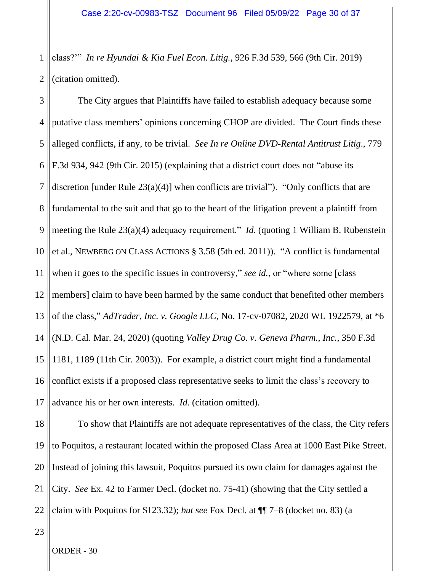1 2 class?'" *In re Hyundai & Kia Fuel Econ. Litig.*, 926 F.3d 539, 566 (9th Cir. 2019) (citation omitted).

3 4 5 6 7 8 9 10 11 12 13 14 15 16 17 The City argues that Plaintiffs have failed to establish adequacy because some putative class members' opinions concerning CHOP are divided. The Court finds these alleged conflicts, if any, to be trivial. *See In re Online DVD-Rental Antitrust Litig*., 779 F.3d 934, 942 (9th Cir. 2015) (explaining that a district court does not "abuse its discretion [under Rule 23(a)(4)] when conflicts are trivial"). "Only conflicts that are fundamental to the suit and that go to the heart of the litigation prevent a plaintiff from meeting the Rule 23(a)(4) adequacy requirement." *Id.* (quoting 1 William B. Rubenstein et al., NEWBERG ON CLASS ACTIONS § 3.58 (5th ed. 2011)). "A conflict is fundamental when it goes to the specific issues in controversy," *see id.*, or "where some [class members] claim to have been harmed by the same conduct that benefited other members of the class," *AdTrader, Inc. v. Google LLC*, No. 17-cv-07082, 2020 WL 1922579, at \*6 (N.D. Cal. Mar. 24, 2020) (quoting *Valley Drug Co. v. Geneva Pharm., Inc.*, 350 F.3d 1181, 1189 (11th Cir. 2003)). For example, a district court might find a fundamental conflict exists if a proposed class representative seeks to limit the class's recovery to advance his or her own interests. *Id.* (citation omitted).

18 19 20 21 22 To show that Plaintiffs are not adequate representatives of the class, the City refers to Poquitos, a restaurant located within the proposed Class Area at 1000 East Pike Street. Instead of joining this lawsuit, Poquitos pursued its own claim for damages against the City. *See* Ex. 42 to Farmer Decl. (docket no. 75-41) (showing that the City settled a claim with Poquitos for \$123.32); *but see* Fox Decl. at ¶¶ 7–8 (docket no. 83) (a

23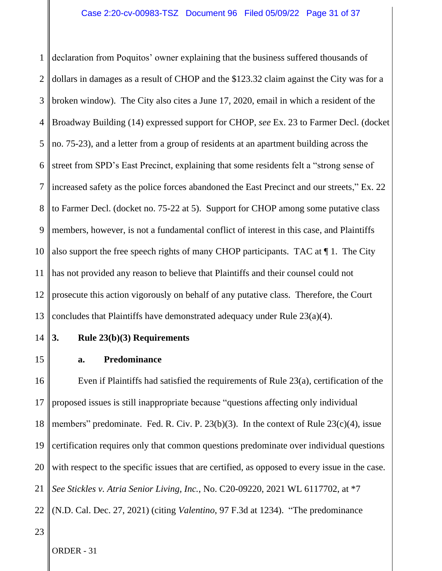1 2 3 4 5 6 7 8 9 10 11 12 13 declaration from Poquitos' owner explaining that the business suffered thousands of dollars in damages as a result of CHOP and the \$123.32 claim against the City was for a broken window). The City also cites a June 17, 2020, email in which a resident of the Broadway Building (14) expressed support for CHOP, *see* Ex. 23 to Farmer Decl. (docket no. 75-23), and a letter from a group of residents at an apartment building across the street from SPD's East Precinct, explaining that some residents felt a "strong sense of increased safety as the police forces abandoned the East Precinct and our streets," Ex. 22 to Farmer Decl. (docket no. 75-22 at 5). Support for CHOP among some putative class members, however, is not a fundamental conflict of interest in this case, and Plaintiffs also support the free speech rights of many CHOP participants. TAC at ¶ 1. The City has not provided any reason to believe that Plaintiffs and their counsel could not prosecute this action vigorously on behalf of any putative class. Therefore, the Court concludes that Plaintiffs have demonstrated adequacy under Rule 23(a)(4).

14

# **3. Rule 23(b)(3) Requirements**

15

# **a. Predominance**

16 17 18 19 20 21 22 Even if Plaintiffs had satisfied the requirements of Rule 23(a), certification of the proposed issues is still inappropriate because "questions affecting only individual members" predominate. Fed. R. Civ. P. 23(b)(3). In the context of Rule 23(c)(4), issue certification requires only that common questions predominate over individual questions with respect to the specific issues that are certified, as opposed to every issue in the case. *See Stickles v. Atria Senior Living, Inc.*, No. C20-09220, 2021 WL 6117702, at \*7 (N.D. Cal. Dec. 27, 2021) (citing *Valentino*, 97 F.3d at 1234). "The predominance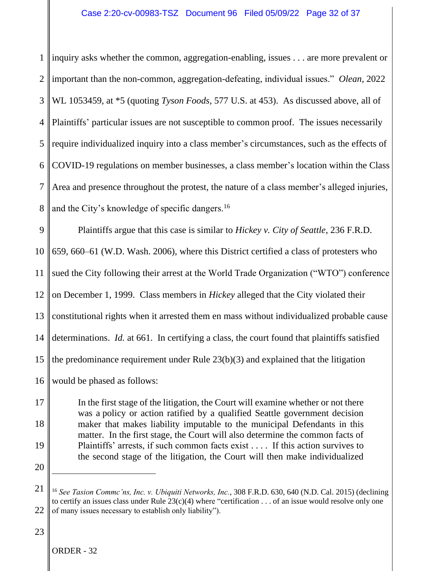1 2 3 4 5 6 7 8 inquiry asks whether the common, aggregation-enabling, issues . . . are more prevalent or important than the non-common, aggregation-defeating, individual issues." *Olean*, 2022 WL 1053459, at \*5 (quoting *Tyson Foods*, 577 U.S. at 453). As discussed above, all of Plaintiffs' particular issues are not susceptible to common proof. The issues necessarily require individualized inquiry into a class member's circumstances, such as the effects of COVID-19 regulations on member businesses, a class member's location within the Class Area and presence throughout the protest, the nature of a class member's alleged injuries, and the City's knowledge of specific dangers.<sup>16</sup>

9 10 11 12 13 14 15 16 Plaintiffs argue that this case is similar to *Hickey v. City of Seattle*, 236 F.R.D. 659, 660–61 (W.D. Wash. 2006), where this District certified a class of protesters who sued the City following their arrest at the World Trade Organization ("WTO") conference on December 1, 1999. Class members in *Hickey* alleged that the City violated their constitutional rights when it arrested them en mass without individualized probable cause determinations. *Id.* at 661. In certifying a class, the court found that plaintiffs satisfied the predominance requirement under Rule 23(b)(3) and explained that the litigation would be phased as follows:

17 18 19 20 In the first stage of the litigation, the Court will examine whether or not there was a policy or action ratified by a qualified Seattle government decision maker that makes liability imputable to the municipal Defendants in this matter. In the first stage, the Court will also determine the common facts of Plaintiffs' arrests, if such common facts exist . . . . If this action survives to the second stage of the litigation, the Court will then make individualized

<sup>21</sup> 22 <sup>16</sup> *See Tasion Commc'ns, Inc. v. Ubiquiti Networks, Inc.*, 308 F.R.D. 630, 640 (N.D. Cal. 2015) (declining to certify an issues class under Rule  $23(c)(4)$  where "certification . . . of an issue would resolve only one of many issues necessary to establish only liability").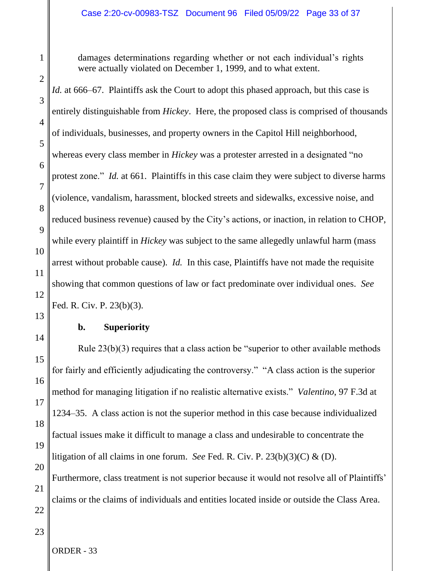damages determinations regarding whether or not each individual's rights were actually violated on December 1, 1999, and to what extent.

2 3 4 5 6 7 8 9 10 11 12 13 14 15 16 17 18 *Id.* at 666–67. Plaintiffs ask the Court to adopt this phased approach, but this case is entirely distinguishable from *Hickey*. Here, the proposed class is comprised of thousands of individuals, businesses, and property owners in the Capitol Hill neighborhood, whereas every class member in *Hickey* was a protester arrested in a designated "no protest zone." *Id.* at 661. Plaintiffs in this case claim they were subject to diverse harms (violence, vandalism, harassment, blocked streets and sidewalks, excessive noise, and reduced business revenue) caused by the City's actions, or inaction, in relation to CHOP, while every plaintiff in *Hickey* was subject to the same allegedly unlawful harm (mass arrest without probable cause). *Id.* In this case, Plaintiffs have not made the requisite showing that common questions of law or fact predominate over individual ones. *See* Fed. R. Civ. P. 23(b)(3). **b. Superiority** Rule 23(b)(3) requires that a class action be "superior to other available methods for fairly and efficiently adjudicating the controversy." "A class action is the superior method for managing litigation if no realistic alternative exists." *Valentino*, 97 F.3d at 1234–35. A class action is not the superior method in this case because individualized factual issues make it difficult to manage a class and undesirable to concentrate the

litigation of all claims in one forum. *See* Fed. R. Civ. P. 23(b)(3)(C) & (D).

Furthermore, class treatment is not superior because it would not resolve all of Plaintiffs' claims or the claims of individuals and entities located inside or outside the Class Area.

23

22

19

20

21

1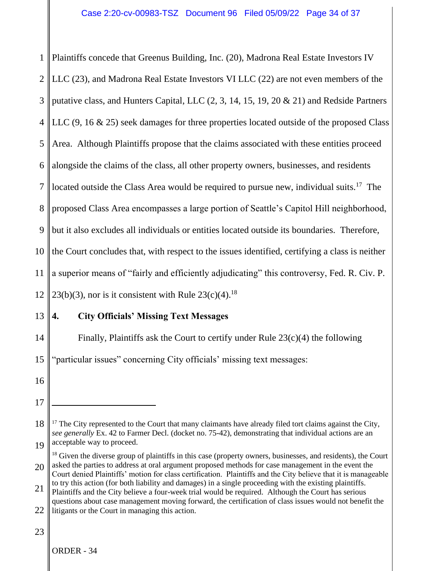1 2 3 4 5 6 7 8 9 10 11 12 Plaintiffs concede that Greenus Building, Inc. (20), Madrona Real Estate Investors IV LLC (23), and Madrona Real Estate Investors VI LLC (22) are not even members of the putative class, and Hunters Capital, LLC (2, 3, 14, 15, 19, 20 & 21) and Redside Partners LLC (9, 16 & 25) seek damages for three properties located outside of the proposed Class Area. Although Plaintiffs propose that the claims associated with these entities proceed alongside the claims of the class, all other property owners, businesses, and residents located outside the Class Area would be required to pursue new, individual suits.<sup>17</sup> The proposed Class Area encompasses a large portion of Seattle's Capitol Hill neighborhood, but it also excludes all individuals or entities located outside its boundaries. Therefore, the Court concludes that, with respect to the issues identified, certifying a class is neither a superior means of "fairly and efficiently adjudicating" this controversy, Fed. R. Civ. P. 23(b)(3), nor is it consistent with Rule  $23(c)(4)$ .<sup>18</sup>

# 13

# **4. City Officials' Missing Text Messages**

14 Finally, Plaintiffs ask the Court to certify under Rule 23(c)(4) the following

15 "particular issues" concerning City officials' missing text messages:

- 16
- 17

20 <sup>18</sup> Given the diverse group of plaintiffs in this case (property owners, businesses, and residents), the Court asked the parties to address at oral argument proposed methods for case management in the event the Court denied Plaintiffs' motion for class certification. Plaintiffs and the City believe that it is manageable

<sup>18</sup> 19  $17$  The City represented to the Court that many claimants have already filed tort claims against the City, *see generally* Ex. 42 to Farmer Decl. (docket no. 75-42), demonstrating that individual actions are an acceptable way to proceed.

<sup>21</sup> to try this action (for both liability and damages) in a single proceeding with the existing plaintiffs. Plaintiffs and the City believe a four-week trial would be required. Although the Court has serious questions about case management moving forward, the certification of class issues would not benefit the

<sup>22</sup> litigants or the Court in managing this action.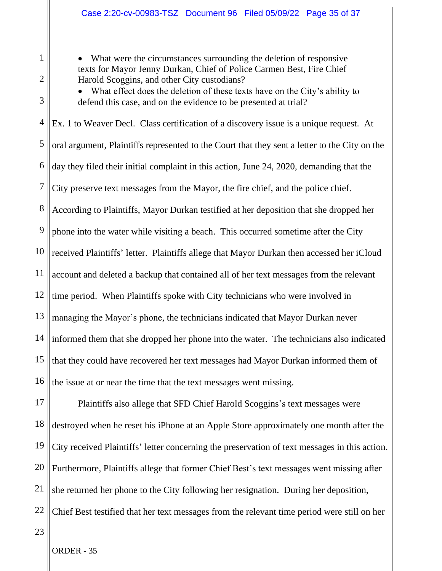• What were the circumstances surrounding the deletion of responsive texts for Mayor Jenny Durkan, Chief of Police Carmen Best, Fire Chief Harold Scoggins, and other City custodians?

• What effect does the deletion of these texts have on the City's ability to defend this case, and on the evidence to be presented at trial?

4 5 6 7 8 9 10 11 12 13 14 15 16 Ex. 1 to Weaver Decl. Class certification of a discovery issue is a unique request. At oral argument, Plaintiffs represented to the Court that they sent a letter to the City on the day they filed their initial complaint in this action, June 24, 2020, demanding that the City preserve text messages from the Mayor, the fire chief, and the police chief. According to Plaintiffs, Mayor Durkan testified at her deposition that she dropped her phone into the water while visiting a beach. This occurred sometime after the City received Plaintiffs' letter. Plaintiffs allege that Mayor Durkan then accessed her iCloud account and deleted a backup that contained all of her text messages from the relevant time period. When Plaintiffs spoke with City technicians who were involved in managing the Mayor's phone, the technicians indicated that Mayor Durkan never informed them that she dropped her phone into the water. The technicians also indicated that they could have recovered her text messages had Mayor Durkan informed them of the issue at or near the time that the text messages went missing.

17 18 19 20 21 22 Plaintiffs also allege that SFD Chief Harold Scoggins's text messages were destroyed when he reset his iPhone at an Apple Store approximately one month after the City received Plaintiffs' letter concerning the preservation of text messages in this action. Furthermore, Plaintiffs allege that former Chief Best's text messages went missing after she returned her phone to the City following her resignation. During her deposition, Chief Best testified that her text messages from the relevant time period were still on her

1

2

3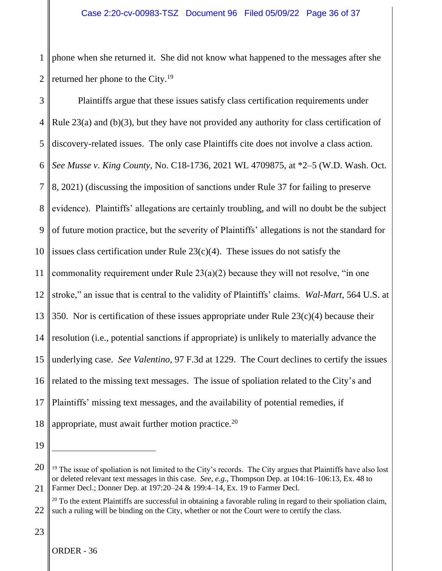1 2 phone when she returned it. She did not know what happened to the messages after she returned her phone to the City.<sup>19</sup>

3 4 5 6 7 8 9 10 11 12 13 14 15 16 17 18 Plaintiffs argue that these issues satisfy class certification requirements under Rule 23(a) and (b)(3), but they have not provided any authority for class certification of discovery-related issues. The only case Plaintiffs cite does not involve a class action. *See Musse v. King County*, No. C18-1736, 2021 WL 4709875, at \*2–5 (W.D. Wash. Oct. 8, 2021) (discussing the imposition of sanctions under Rule 37 for failing to preserve evidence). Plaintiffs' allegations are certainly troubling, and will no doubt be the subject of future motion practice, but the severity of Plaintiffs' allegations is not the standard for issues class certification under Rule  $23(c)(4)$ . These issues do not satisfy the commonality requirement under Rule  $23(a)(2)$  because they will not resolve, "in one stroke," an issue that is central to the validity of Plaintiffs' claims. *Wal-Mart*, 564 U.S. at 350. Nor is certification of these issues appropriate under Rule  $23(c)(4)$  because their resolution (i.e., potential sanctions if appropriate) is unlikely to materially advance the underlying case. *See Valentino*, 97 F.3d at 1229. The Court declines to certify the issues related to the missing text messages. The issue of spoliation related to the City's and Plaintiffs' missing text messages, and the availability of potential remedies, if appropriate, must await further motion practice.<sup>20</sup>

19

<sup>20</sup> 21  $19$  The issue of spoliation is not limited to the City's records. The City argues that Plaintiffs have also lost or deleted relevant text messages in this case. *See*, *e.g.*, Thompson Dep. at 104:16–106:13, Ex. 48 to Farmer Decl.; Donner Dep. at 197:20–24 & 199:4–14, Ex. 19 to Farmer Decl.

<sup>22</sup>  $^{20}$  To the extent Plaintiffs are successful in obtaining a favorable ruling in regard to their spoliation claim, such a ruling will be binding on the City, whether or not the Court were to certify the class.